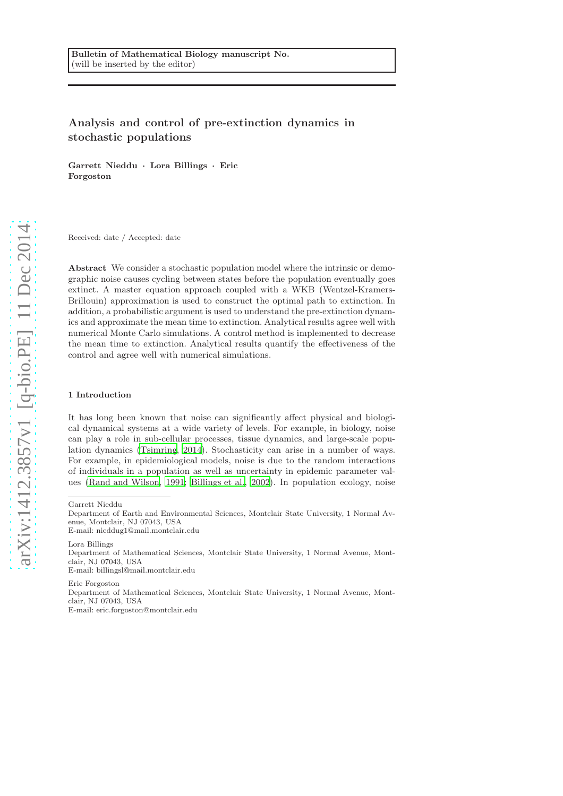# Analysis and control of pre-extinction dynamics in stochastic populations

Garrett Nieddu · Lora Billings · Eric Forgoston

Received: date / Accepted: date

Abstract We consider a stochastic population model where the intrinsic or demographic noise causes cycling between states before the population eventually goes extinct. A master equation approach coupled with a WKB (Wentzel-Kramers-Brillouin) approximation is used to construct the optimal path to extinction. In addition, a probabilistic argument is used to understand the pre-extinction dynamics and approximate the mean time to extinction. Analytical results agree well with numerical Monte Carlo simulations. A control method is implemented to decrease the mean time to extinction. Analytical results quantify the effectiveness of the control and agree well with numerical simulations.

#### 1 Introduction

It has long been known that noise can significantly affect physical and biological dynamical systems at a wide variety of levels. For example, in biology, noise can play a role in sub-cellular processes, tissue dynamics, and large-scale population dynamics [\(Tsimring, 2014](#page-16-0)). Stochasticity can arise in a number of ways. For example, in epidemiological models, noise is due to the random interactions of individuals in a population as well as uncertainty in epidemic parameter values [\(Rand and Wilson](#page-15-0), [1991;](#page-15-0) [Billings et al., 2002](#page-15-1)). In population ecology, noise

Lora Billings

Eric Forgoston Department of Mathematical Sciences, Montclair State University, 1 Normal Avenue, Montclair, NJ 07043, USA E-mail: eric.forgoston@montclair.edu

Garrett Nieddu

Department of Earth and Environmental Sciences, Montclair State University, 1 Normal Avenue, Montclair, NJ 07043, USA

E-mail: nieddug1@mail.montclair.edu

Department of Mathematical Sciences, Montclair State University, 1 Normal Avenue, Montclair, NJ 07043, USA E-mail: billingsl@mail.montclair.edu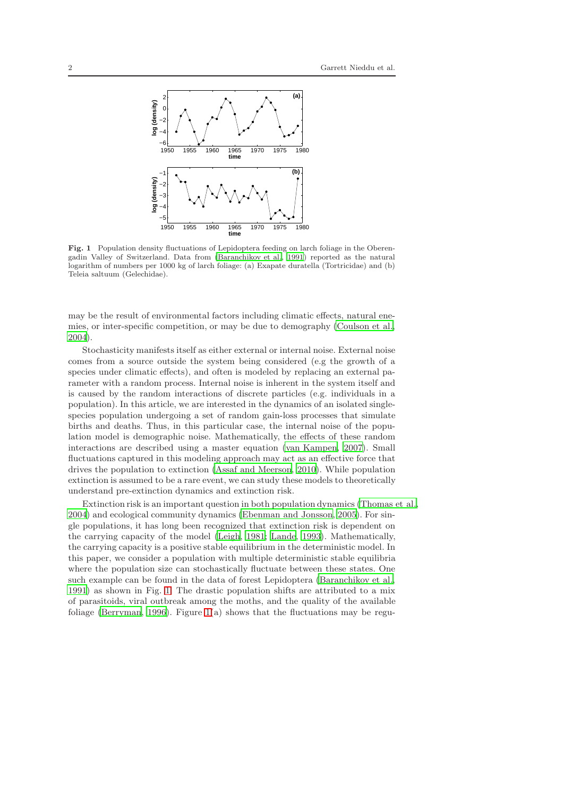

<span id="page-1-0"></span>Fig. 1 Population density fluctuations of Lepidoptera feeding on larch foliage in the Oberengadin Valley of Switzerland. Data from [\(Baranchikov et al.,](#page-15-2) [1991\)](#page-15-2) reported as the natural logarithm of numbers per 1000 kg of larch foliage: (a) Exapate duratella (Tortricidae) and (b) Teleia saltuum (Gelechidae).

may be the result of environmental factors including climatic effects, natural enemies, or inter-specific competition, or may be due to demography [\(Coulson et al.,](#page-15-3) [2004\)](#page-15-3).

Stochasticity manifests itself as either external or internal noise. External noise comes from a source outside the system being considered (e.g the growth of a species under climatic effects), and often is modeled by replacing an external parameter with a random process. Internal noise is inherent in the system itself and is caused by the random interactions of discrete particles (e.g. individuals in a population). In this article, we are interested in the dynamics of an isolated singlespecies population undergoing a set of random gain-loss processes that simulate births and deaths. Thus, in this particular case, the internal noise of the population model is demographic noise. Mathematically, the effects of these random interactions are described using a master equation [\(van Kampen](#page-16-1), [2007\)](#page-16-1). Small fluctuations captured in this modeling approach may act as an effective force that drives the population to extinction [\(Assaf and Meerson](#page-15-4), [2010\)](#page-15-4). While population extinction is assumed to be a rare event, we can study these models to theoretically understand pre-extinction dynamics and extinction risk.

Extinction risk is an important question in both population dynamics [\(Thomas et al.,](#page-16-2) [2004\)](#page-16-2) and ecological community dynamics [\(Ebenman and Jonsson, 2005\)](#page-15-5). For single populations, it has long been recognized that extinction risk is dependent on the carrying capacity of the model [\(Leigh, 1981;](#page-15-6) [Lande, 1993\)](#page-15-7). Mathematically, the carrying capacity is a positive stable equilibrium in the deterministic model. In this paper, we consider a population with multiple deterministic stable equilibria where the population size can stochastically fluctuate between these states. One such example can be found in the data of forest Lepidoptera [\(Baranchikov et al.,](#page-15-2) [1991\)](#page-15-2) as shown in Fig. [1.](#page-1-0) The drastic population shifts are attributed to a mix of parasitoids, viral outbreak among the moths, and the quality of the available foliage [\(Berryman, 1996\)](#page-15-8). Figure [1\(](#page-1-0)a) shows that the fluctuations may be regu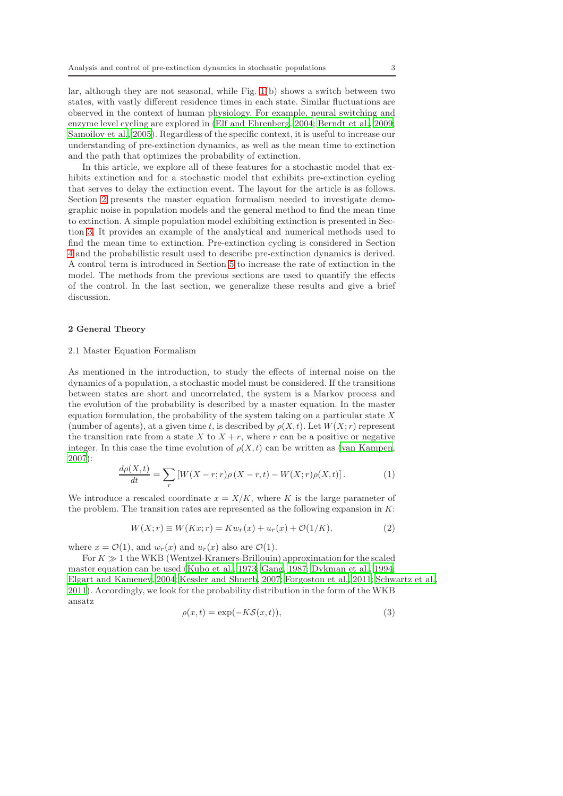lar, although they are not seasonal, while Fig. [1\(](#page-1-0)b) shows a switch between two states, with vastly different residence times in each state. Similar fluctuations are observed in the context of human physiology. For example, neural switching and enzyme level cycling are explored in [\(Elf and Ehrenberg](#page-15-9), [2004;](#page-15-9) [Berndt et al., 2009;](#page-15-10) [Samoilov et al.](#page-15-11), [2005\)](#page-15-11). Regardless of the specific context, it is useful to increase our understanding of pre-extinction dynamics, as well as the mean time to extinction and the path that optimizes the probability of extinction.

In this article, we explore all of these features for a stochastic model that exhibits extinction and for a stochastic model that exhibits pre-extinction cycling that serves to delay the extinction event. The layout for the article is as follows. Section [2](#page-2-0) presents the master equation formalism needed to investigate demographic noise in population models and the general method to find the mean time to extinction. A simple population model exhibiting extinction is presented in Section [3.](#page-5-0) It provides an example of the analytical and numerical methods used to find the mean time to extinction. Pre-extinction cycling is considered in Section [4](#page-7-0) and the probabilistic result used to describe pre-extinction dynamics is derived. A control term is introduced in Section [5](#page-12-0) to increase the rate of extinction in the model. The methods from the previous sections are used to quantify the effects of the control. In the last section, we generalize these results and give a brief discussion.

#### <span id="page-2-0"></span>2 General Theory

### 2.1 Master Equation Formalism

As mentioned in the introduction, to study the effects of internal noise on the dynamics of a population, a stochastic model must be considered. If the transitions between states are short and uncorrelated, the system is a Markov process and the evolution of the probability is described by a master equation. In the master equation formulation, the probability of the system taking on a particular state  $X$ (number of agents), at a given time t, is described by  $\rho(X, t)$ . Let  $W(X; r)$  represent the transition rate from a state X to  $X + r$ , where r can be a positive or negative integer. In this case the time evolution of  $\rho(X, t)$  can be written as [\(van Kampen,](#page-16-1) [2007\)](#page-16-1):

<span id="page-2-2"></span>
$$
\frac{d\rho(X,t)}{dt} = \sum_{r} \left[ W(X-r;r)\rho(X-r,t) - W(X;r)\rho(X,t) \right]. \tag{1}
$$

We introduce a rescaled coordinate  $x = X/K$ , where K is the large parameter of the problem. The transition rates are represented as the following expansion in  $K$ :

<span id="page-2-3"></span>
$$
W(X; r) \equiv W(Kx; r) = Kw_r(x) + u_r(x) + \mathcal{O}(1/K),
$$
\n<sup>(2)</sup>

where  $x = \mathcal{O}(1)$ , and  $w_r(x)$  and  $u_r(x)$  also are  $\mathcal{O}(1)$ .

For  $K \gg 1$  the WKB (Wentzel-Kramers-Brillouin) approximation for the scaled master equation can be used [\(Kubo et al.](#page-15-12), [1973;](#page-15-12) [Gang](#page-15-13), [1987;](#page-15-13) [Dykman et al.](#page-15-14), [1994;](#page-15-14) [Elgart and Kamenev, 2004;](#page-15-15) [Kessler and Shnerb](#page-15-16), [2007;](#page-15-16) [Forgoston et al., 2011](#page-15-17); [Schwartz et al.](#page-15-18), [2011\)](#page-15-18). Accordingly, we look for the probability distribution in the form of the WKB ansatz

<span id="page-2-1"></span>
$$
\rho(x,t) = \exp(-K\mathcal{S}(x,t)),\tag{3}
$$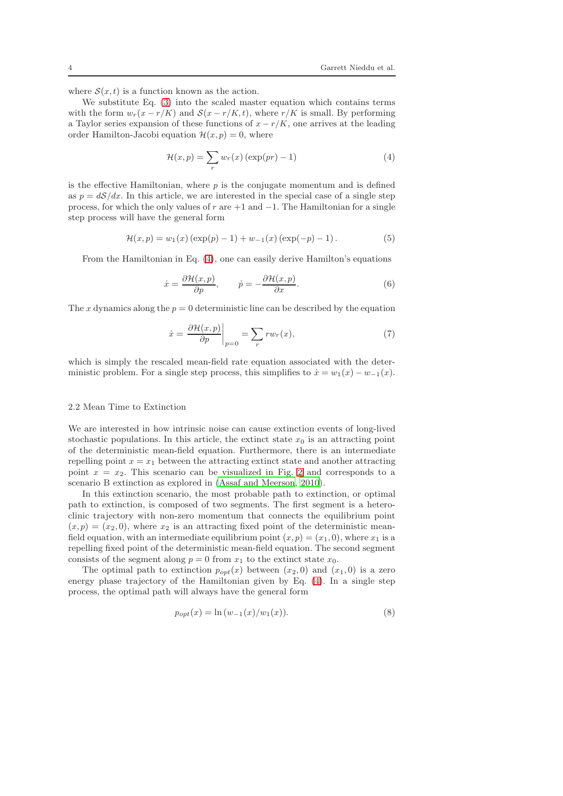where  $S(x, t)$  is a function known as the action.

We substitute Eq. [\(3\)](#page-2-1) into the scaled master equation which contains terms with the form  $w_r(x - r/K)$  and  $S(x - r/K, t)$ , where  $r/K$  is small. By performing a Taylor series expansion of these functions of  $x - r/K$ , one arrives at the leading order Hamilton-Jacobi equation  $\mathcal{H}(x, p) = 0$ , where

<span id="page-3-0"></span>
$$
\mathcal{H}(x,p) = \sum_{r} w_r(x) \left( \exp(pr) - 1 \right) \tag{4}
$$

is the effective Hamiltonian, where  $p$  is the conjugate momentum and is defined as  $p = dS/dx$ . In this article, we are interested in the special case of a single step process, for which the only values of r are  $+1$  and  $-1$ . The Hamiltonian for a single step process will have the general form

$$
\mathcal{H}(x, p) = w_1(x) (\exp(p) - 1) + w_{-1}(x) (\exp(-p) - 1).
$$
 (5)

From the Hamiltonian in Eq. [\(4\)](#page-3-0), one can easily derive Hamilton's equations

<span id="page-3-1"></span>
$$
\dot{x} = \frac{\partial \mathcal{H}(x, p)}{\partial p}, \qquad \dot{p} = -\frac{\partial \mathcal{H}(x, p)}{\partial x}.
$$
 (6)

The x dynamics along the  $p = 0$  deterministic line can be described by the equation

<span id="page-3-2"></span>
$$
\dot{x} = \left. \frac{\partial \mathcal{H}(x, p)}{\partial p} \right|_{p=0} = \sum_{r} rw_r(x),\tag{7}
$$

which is simply the rescaled mean-field rate equation associated with the deterministic problem. For a single step process, this simplifies to  $\dot{x} = w_1(x) - w_{-1}(x)$ .

### 2.2 Mean Time to Extinction

We are interested in how intrinsic noise can cause extinction events of long-lived stochastic populations. In this article, the extinct state  $x_0$  is an attracting point of the deterministic mean-field equation. Furthermore, there is an intermediate repelling point  $x = x_1$  between the attracting extinct state and another attracting point  $x = x_2$ . This scenario can be visualized in Fig. [2](#page-4-0) and corresponds to a scenario B extinction as explored in [\(Assaf and Meerson, 2010\)](#page-15-4).

In this extinction scenario, the most probable path to extinction, or optimal path to extinction, is composed of two segments. The first segment is a heteroclinic trajectory with non-zero momentum that connects the equilibrium point  $(x, p) = (x_2, 0)$ , where  $x_2$  is an attracting fixed point of the deterministic meanfield equation, with an intermediate equilibrium point  $(x, p) = (x_1, 0)$ , where  $x_1$  is a repelling fixed point of the deterministic mean-field equation. The second segment consists of the segment along  $p = 0$  from  $x_1$  to the extinct state  $x_0$ .

The optimal path to extinction  $p_{opt}(x)$  between  $(x_2, 0)$  and  $(x_1, 0)$  is a zero energy phase trajectory of the Hamiltonian given by Eq. [\(4\)](#page-3-0). In a single step process, the optimal path will always have the general form

$$
p_{opt}(x) = \ln(w_{-1}(x)/w_1(x)).
$$
\n(8)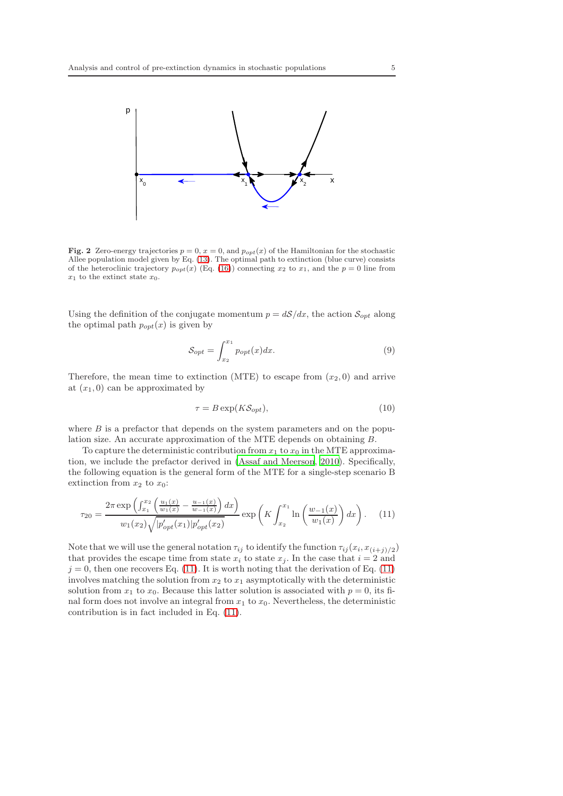

<span id="page-4-0"></span>Fig. 2 Zero-energy trajectories  $p = 0$ ,  $x = 0$ , and  $p_{opt}(x)$  of the Hamiltonian for the stochastic Allee population model given by Eq. [\(13\)](#page-5-1). The optimal path to extinction (blue curve) consists of the heteroclinic trajectory  $p_{opt}(x)$  (Eq. [\(16\)](#page-6-0)) connecting  $x_2$  to  $x_1$ , and the  $p = 0$  line from  $x_1$  to the extinct state  $x_0$ .

Using the definition of the conjugate momentum  $p = dS/dx$ , the action  $S_{opt}$  along the optimal path  $p_{opt}(x)$  is given by

$$
S_{opt} = \int_{x_2}^{x_1} p_{opt}(x) dx.
$$
 (9)

Therefore, the mean time to extinction (MTE) to escape from  $(x_2, 0)$  and arrive at  $(x_1, 0)$  can be approximated by

$$
\tau = B \exp(K\mathcal{S}_{opt}),\tag{10}
$$

where  $B$  is a prefactor that depends on the system parameters and on the population size. An accurate approximation of the MTE depends on obtaining B.

To capture the deterministic contribution from  $x_1$  to  $x_0$  in the MTE approximation, we include the prefactor derived in [\(Assaf and Meerson, 2010](#page-15-4)). Specifically, the following equation is the general form of the MTE for a single-step scenario B extinction from  $x_2$  to  $x_0$ :

<span id="page-4-1"></span>
$$
\tau_{20} = \frac{2\pi \exp\left(\int_{x_1}^{x_2} \left(\frac{u_1(x)}{w_1(x)} - \frac{u_{-1}(x)}{w_{-1}(x)}\right) dx\right)}{w_1(x_2)\sqrt{|p'_{opt}(x_1)|p'_{opt}(x_2)}} \exp\left(K \int_{x_2}^{x_1} \ln\left(\frac{w_{-1}(x)}{w_1(x)}\right) dx\right).
$$
 (11)

Note that we will use the general notation  $\tau_{ij}$  to identify the function  $\tau_{ij}(x_i, x_{(i+j)/2})$ that provides the escape time from state  $x_i$  to state  $x_j$ . In the case that  $i = 2$  and  $j = 0$ , then one recovers Eq. [\(11\)](#page-4-1). It is worth noting that the derivation of Eq. (11) involves matching the solution from  $x_2$  to  $x_1$  asymptotically with the deterministic solution from  $x_1$  to  $x_0$ . Because this latter solution is associated with  $p = 0$ , its final form does not involve an integral from  $x_1$  to  $x_0$ . Nevertheless, the deterministic contribution is in fact included in Eq. [\(11\)](#page-4-1).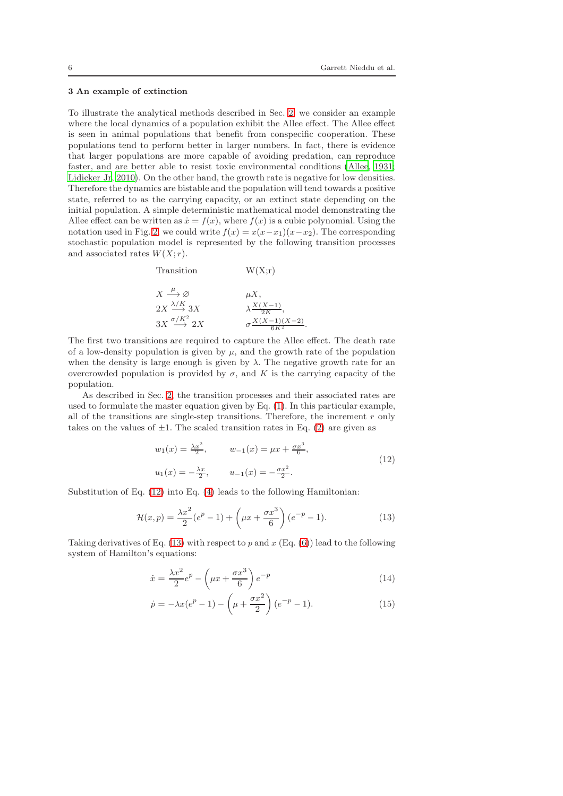#### <span id="page-5-0"></span>3 An example of extinction

To illustrate the analytical methods described in Sec. [2,](#page-2-0) we consider an example where the local dynamics of a population exhibit the Allee effect. The Allee effect is seen in animal populations that benefit from conspecific cooperation. These populations tend to perform better in larger numbers. In fact, there is evidence that larger populations are more capable of avoiding predation, can reproduce faster, and are better able to resist toxic environmental conditions [\(Allee, 1931;](#page-14-0) [Lidicker Jr, 2010\)](#page-15-19). On the other hand, the growth rate is negative for low densities. Therefore the dynamics are bistable and the population will tend towards a positive state, referred to as the carrying capacity, or an extinct state depending on the initial population. A simple deterministic mathematical model demonstrating the Allee effect can be written as  $\dot{x} = f(x)$ , where  $f(x)$  is a cubic polynomial. Using the notation used in Fig. [2,](#page-4-0) we could write  $f(x) = x(x-x_1)(x-x_2)$ . The corresponding stochastic population model is represented by the following transition processes and associated rates  $W(X; r)$ .

| Transition                                      | W(X; r)                             |
|-------------------------------------------------|-------------------------------------|
| $X \stackrel{\mu}{\longrightarrow} \varnothing$ | $\mu X$ ,                           |
| $2X \stackrel{\lambda/K}{\longrightarrow} 3X$   | $\lambda \frac{X(X-1)}{2K}$         |
| $3X \stackrel{\sigma/K^2}{\longrightarrow} 2X$  | $\sigma \frac{X(X-1)(X-2)}{eK^2}$ . |

The first two transitions are required to capture the Allee effect. The death rate of a low-density population is given by  $\mu$ , and the growth rate of the population when the density is large enough is given by  $\lambda$ . The negative growth rate for an overcrowded population is provided by  $\sigma$ , and K is the carrying capacity of the population.

As described in Sec. [2,](#page-2-0) the transition processes and their associated rates are used to formulate the master equation given by Eq. [\(1\)](#page-2-2). In this particular example, all of the transitions are single-step transitions. Therefore, the increment  $r$  only takes on the values of  $\pm 1$ . The scaled transition rates in Eq. [\(2\)](#page-2-3) are given as

<span id="page-5-2"></span>
$$
w_1(x) = \frac{\lambda x^2}{2}, \qquad w_{-1}(x) = \mu x + \frac{\sigma x^3}{6},
$$
  

$$
u_1(x) = -\frac{\lambda x}{2}, \qquad u_{-1}(x) = -\frac{\sigma x^2}{2}.
$$
 (12)

Substitution of Eq. [\(12\)](#page-5-2) into Eq. [\(4\)](#page-3-0) leads to the following Hamiltonian:

<span id="page-5-1"></span>
$$
\mathcal{H}(x,p) = \frac{\lambda x^2}{2}(e^p - 1) + \left(\mu x + \frac{\sigma x^3}{6}\right)(e^{-p} - 1).
$$
 (13)

Taking derivatives of Eq. [\(13\)](#page-5-1) with respect to p and  $x$  (Eq. [\(6\)](#page-3-1)) lead to the following system of Hamilton's equations:

<span id="page-5-3"></span>
$$
\dot{x} = \frac{\lambda x^2}{2} e^p - \left(\mu x + \frac{\sigma x^3}{6}\right) e^{-p} \tag{14}
$$

$$
\dot{p} = -\lambda x (e^p - 1) - \left(\mu + \frac{\sigma x^2}{2}\right) (e^{-p} - 1).
$$
 (15)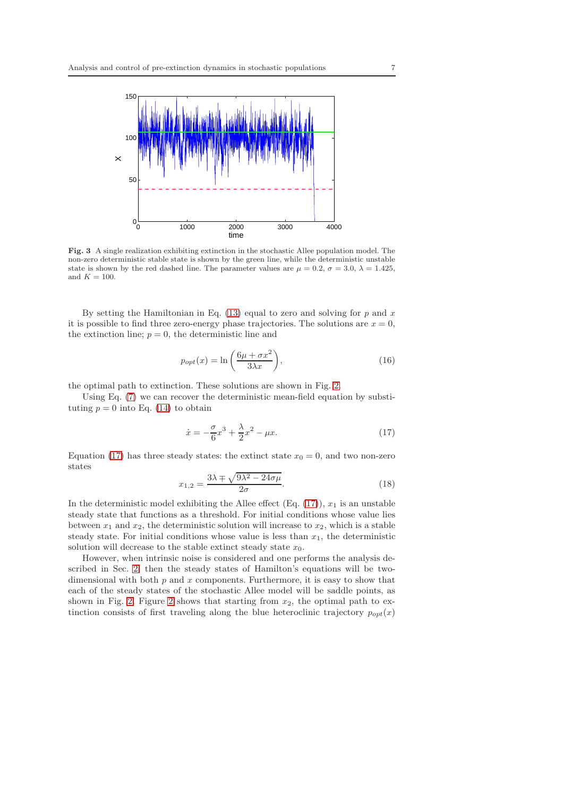

<span id="page-6-2"></span>Fig. 3 A single realization exhibiting extinction in the stochastic Allee population model. The non-zero deterministic stable state is shown by the green line, while the deterministic unstable state is shown by the red dashed line. The parameter values are  $\mu = 0.2$ ,  $\sigma = 3.0$ ,  $\lambda = 1.425$ , and  $K = 100$ .

By setting the Hamiltonian in Eq.  $(13)$  equal to zero and solving for p and x it is possible to find three zero-energy phase trajectories. The solutions are  $x = 0$ , the extinction line;  $p = 0$ , the deterministic line and

<span id="page-6-0"></span>
$$
p_{opt}(x) = \ln\left(\frac{6\mu + \sigma x^2}{3\lambda x}\right),\tag{16}
$$

the optimal path to extinction. These solutions are shown in Fig. [2.](#page-4-0)

Using Eq. [\(7\)](#page-3-2) we can recover the deterministic mean-field equation by substituting  $p = 0$  into Eq. [\(14\)](#page-5-3) to obtain

<span id="page-6-1"></span>
$$
\dot{x} = -\frac{\sigma}{6}x^3 + \frac{\lambda}{2}x^2 - \mu x.
$$
 (17)

Equation [\(17\)](#page-6-1) has three steady states: the extinct state  $x_0 = 0$ , and two non-zero states

$$
x_{1,2} = \frac{3\lambda \pm \sqrt{9\lambda^2 - 24\sigma\mu}}{2\sigma}.
$$
\n(18)

In the deterministic model exhibiting the Allee effect (Eq. [\(17\)](#page-6-1)),  $x_1$  is an unstable steady state that functions as a threshold. For initial conditions whose value lies between  $x_1$  and  $x_2$ , the deterministic solution will increase to  $x_2$ , which is a stable steady state. For initial conditions whose value is less than  $x_1$ , the deterministic solution will decrease to the stable extinct steady state  $x_0$ .

However, when intrinsic noise is considered and one performs the analysis described in Sec. [2,](#page-2-0) then the steady states of Hamilton's equations will be twodimensional with both  $p$  and  $x$  components. Furthermore, it is easy to show that each of the steady states of the stochastic Allee model will be saddle points, as shown in Fig. [2.](#page-4-0) Figure [2](#page-4-0) shows that starting from  $x_2$ , the optimal path to extinction consists of first traveling along the blue heteroclinic trajectory  $p_{opt}(x)$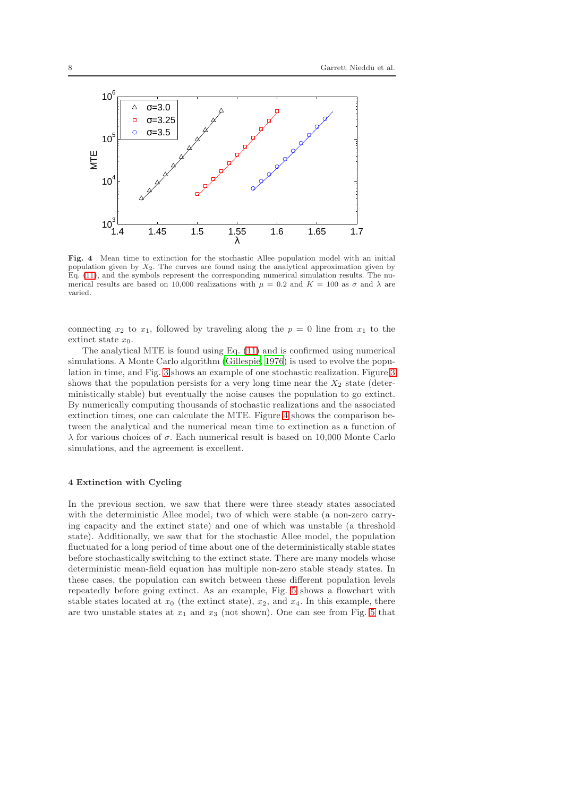

<span id="page-7-1"></span>Fig. 4 Mean time to extinction for the stochastic Allee population model with an initial population given by  $X_2$ . The curves are found using the analytical approximation given by Eq. [\(11\)](#page-4-1), and the symbols represent the corresponding numerical simulation results. The numerical results are based on 10,000 realizations with  $\mu = 0.2$  and  $K = 100$  as  $\sigma$  and  $\lambda$  are varied.

connecting  $x_2$  to  $x_1$ , followed by traveling along the  $p = 0$  line from  $x_1$  to the extinct state  $x_0$ .

The analytical MTE is found using Eq. [\(11\)](#page-4-1) and is confirmed using numerical simulations. A Monte Carlo algorithm [\(Gillespie, 1976\)](#page-15-20) is used to evolve the population in time, and Fig. [3](#page-6-2) shows an example of one stochastic realization. Figure [3](#page-6-2) shows that the population persists for a very long time near the  $X_2$  state (deterministically stable) but eventually the noise causes the population to go extinct. By numerically computing thousands of stochastic realizations and the associated extinction times, one can calculate the MTE. Figure [4](#page-7-1) shows the comparison between the analytical and the numerical mean time to extinction as a function of λ for various choices of σ. Each numerical result is based on 10,000 Monte Carlo simulations, and the agreement is excellent.

## <span id="page-7-0"></span>4 Extinction with Cycling

In the previous section, we saw that there were three steady states associated with the deterministic Allee model, two of which were stable (a non-zero carrying capacity and the extinct state) and one of which was unstable (a threshold state). Additionally, we saw that for the stochastic Allee model, the population fluctuated for a long period of time about one of the deterministically stable states before stochastically switching to the extinct state. There are many models whose deterministic mean-field equation has multiple non-zero stable steady states. In these cases, the population can switch between these different population levels repeatedly before going extinct. As an example, Fig. [5](#page-8-0) shows a flowchart with stable states located at  $x_0$  (the extinct state),  $x_2$ , and  $x_4$ . In this example, there are two unstable states at  $x_1$  and  $x_3$  (not shown). One can see from Fig. [5](#page-8-0) that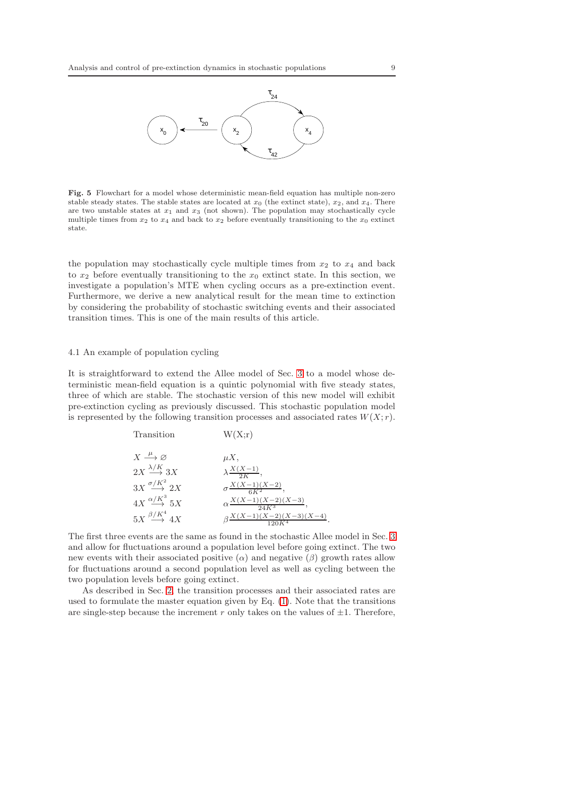

<span id="page-8-0"></span>Fig. 5 Flowchart for a model whose deterministic mean-field equation has multiple non-zero stable steady states. The stable states are located at  $x_0$  (the extinct state),  $x_2$ , and  $x_4$ . There are two unstable states at  $x_1$  and  $x_3$  (not shown). The population may stochastically cycle multiple times from  $x_2$  to  $x_4$  and back to  $x_2$  before eventually transitioning to the  $x_0$  extinct state.

the population may stochastically cycle multiple times from  $x_2$  to  $x_4$  and back to  $x_2$  before eventually transitioning to the  $x_0$  extinct state. In this section, we investigate a population's MTE when cycling occurs as a pre-extinction event. Furthermore, we derive a new analytical result for the mean time to extinction by considering the probability of stochastic switching events and their associated transition times. This is one of the main results of this article.

#### 4.1 An example of population cycling

It is straightforward to extend the Allee model of Sec. [3](#page-5-0) to a model whose deterministic mean-field equation is a quintic polynomial with five steady states, three of which are stable. The stochastic version of this new model will exhibit pre-extinction cycling as previously discussed. This stochastic population model is represented by the following transition processes and associated rates  $W(X; r)$ .

transition

\n
$$
W(X;r)
$$
\n
$$
X \xrightarrow{\mu} \varnothing
$$
\n
$$
2X \xrightarrow{\lambda/K} 3X
$$
\n
$$
3X \xrightarrow{\sigma/K^{2}} 2X
$$
\n
$$
4X \xrightarrow{\alpha/K^{3}} 5X
$$
\n
$$
5X \xrightarrow{\beta/K^{4}} 4X
$$
\n
$$
3X \xrightarrow{\sigma X(X-1)(X-2)}
$$
\n
$$
3X \xrightarrow{\alpha/K^{2}} 2X
$$
\n
$$
\alpha \frac{X(X-1)(X-2)(X-3)}{6K^{2}},
$$
\n
$$
\beta \frac{X(X-1)(X-2)(X-3)(X-4)}{120K^{4}}.
$$

The first three events are the same as found in the stochastic Allee model in Sec. [3](#page-5-0) and allow for fluctuations around a population level before going extinct. The two new events with their associated positive  $(\alpha)$  and negative  $(\beta)$  growth rates allow for fluctuations around a second population level as well as cycling between the two population levels before going extinct.

As described in Sec. [2,](#page-2-0) the transition processes and their associated rates are used to formulate the master equation given by Eq. [\(1\)](#page-2-2). Note that the transitions are single-step because the increment r only takes on the values of  $\pm 1$ . Therefore,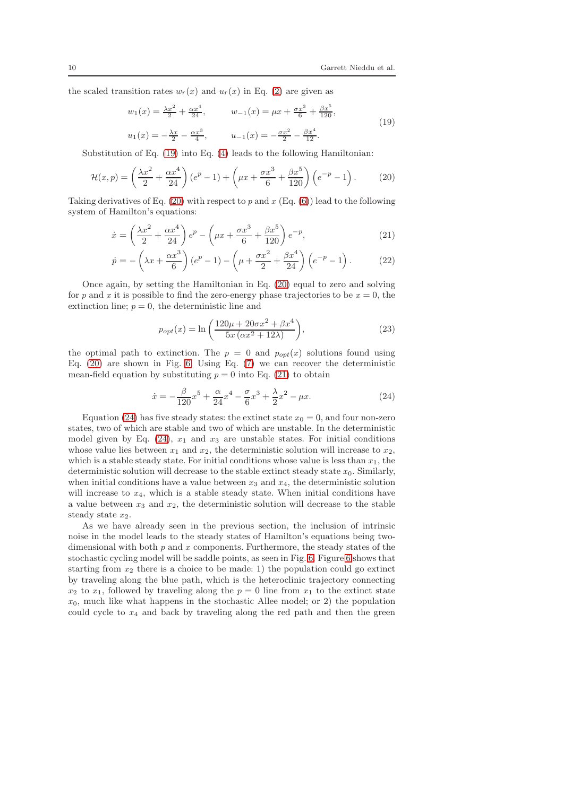the scaled transition rates  $w_r(x)$  and  $u_r(x)$  in Eq. [\(2\)](#page-2-3) are given as

<span id="page-9-0"></span>
$$
w_1(x) = \frac{\lambda x^2}{2} + \frac{\alpha x^4}{24}, \qquad w_{-1}(x) = \mu x + \frac{\sigma x^3}{6} + \frac{\beta x^5}{120},
$$
  

$$
u_1(x) = -\frac{\lambda x}{2} - \frac{\alpha x^3}{4}, \qquad u_{-1}(x) = -\frac{\sigma x^2}{2} - \frac{\beta x^4}{12}.
$$
 (19)

Substitution of Eq. [\(19\)](#page-9-0) into Eq. [\(4\)](#page-3-0) leads to the following Hamiltonian:

<span id="page-9-1"></span>
$$
\mathcal{H}(x,p) = \left(\frac{\lambda x^2}{2} + \frac{\alpha x^4}{24}\right)(e^p - 1) + \left(\mu x + \frac{\sigma x^3}{6} + \frac{\beta x^5}{120}\right)\left(e^{-p} - 1\right). \tag{20}
$$

Taking derivatives of Eq. [\(20\)](#page-9-1) with respect to p and  $x$  (Eq. [\(6\)](#page-3-1)) lead to the following system of Hamilton's equations:

<span id="page-9-2"></span>
$$
\dot{x} = \left(\frac{\lambda x^2}{2} + \frac{\alpha x^4}{24}\right)e^p - \left(\mu x + \frac{\sigma x^3}{6} + \frac{\beta x^5}{120}\right)e^{-p},\tag{21}
$$

$$
\dot{p} = -\left(\lambda x + \frac{\alpha x^3}{6}\right)(e^p - 1) - \left(\mu + \frac{\sigma x^2}{2} + \frac{\beta x^4}{24}\right)\left(e^{-p} - 1\right). \tag{22}
$$

Once again, by setting the Hamiltonian in Eq. [\(20\)](#page-9-1) equal to zero and solving for p and x it is possible to find the zero-energy phase trajectories to be  $x = 0$ , the extinction line;  $p = 0$ , the deterministic line and

<span id="page-9-4"></span>
$$
p_{opt}(x) = \ln\left(\frac{120\mu + 20\sigma x^2 + \beta x^4}{5x\left(\alpha x^2 + 12\lambda\right)}\right),\tag{23}
$$

the optimal path to extinction. The  $p = 0$  and  $p_{opt}(x)$  solutions found using Eq.  $(20)$  are shown in Fig. [6.](#page-10-0) Using Eq.  $(7)$  we can recover the deterministic mean-field equation by substituting  $p = 0$  into Eq. [\(21\)](#page-9-2) to obtain

<span id="page-9-3"></span>
$$
\dot{x} = -\frac{\beta}{120}x^5 + \frac{\alpha}{24}x^4 - \frac{\sigma}{6}x^3 + \frac{\lambda}{2}x^2 - \mu x.
$$
 (24)

Equation [\(24\)](#page-9-3) has five steady states: the extinct state  $x_0 = 0$ , and four non-zero states, two of which are stable and two of which are unstable. In the deterministic model given by Eq.  $(24)$ ,  $x_1$  and  $x_3$  are unstable states. For initial conditions whose value lies between  $x_1$  and  $x_2$ , the deterministic solution will increase to  $x_2$ , which is a stable steady state. For initial conditions whose value is less than  $x_1$ , the deterministic solution will decrease to the stable extinct steady state  $x_0$ . Similarly, when initial conditions have a value between  $x_3$  and  $x_4$ , the deterministic solution will increase to  $x_4$ , which is a stable steady state. When initial conditions have a value between  $x_3$  and  $x_2$ , the deterministic solution will decrease to the stable steady state  $x_2$ .

As we have already seen in the previous section, the inclusion of intrinsic noise in the model leads to the steady states of Hamilton's equations being twodimensional with both  $p$  and  $x$  components. Furthermore, the steady states of the stochastic cycling model will be saddle points, as seen in Fig. [6.](#page-10-0) Figure [6](#page-10-0) shows that starting from  $x_2$  there is a choice to be made: 1) the population could go extinct by traveling along the blue path, which is the heteroclinic trajectory connecting  $x_2$  to  $x_1$ , followed by traveling along the  $p = 0$  line from  $x_1$  to the extinct state  $x_0$ , much like what happens in the stochastic Allee model; or 2) the population could cycle to  $x_4$  and back by traveling along the red path and then the green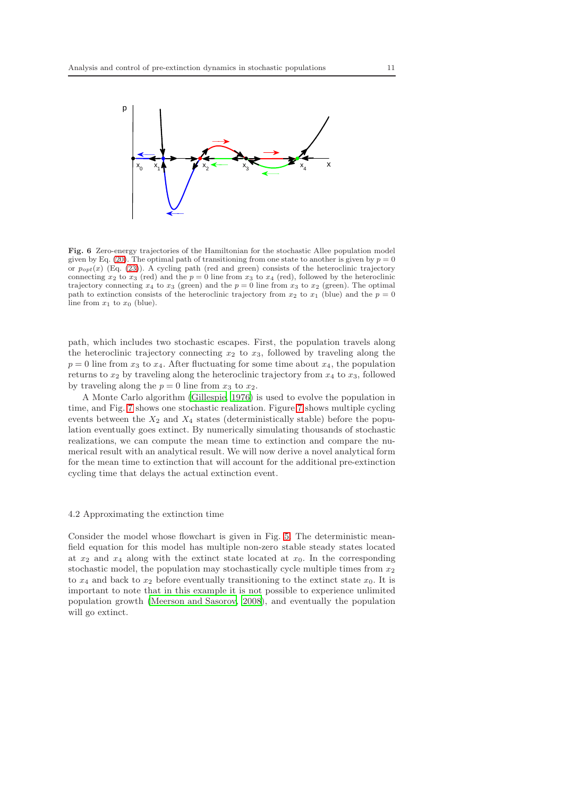

<span id="page-10-0"></span>Fig. 6 Zero-energy trajectories of the Hamiltonian for the stochastic Allee population model given by Eq. [\(20\)](#page-9-1). The optimal path of transitioning from one state to another is given by  $p = 0$ or  $p_{opt}(x)$  (Eq. [\(23\)](#page-9-4)). A cycling path (red and green) consists of the heteroclinic trajectory connecting  $x_2$  to  $x_3$  (red) and the  $p = 0$  line from  $x_3$  to  $x_4$  (red), followed by the heteroclinic trajectory connecting  $x_4$  to  $x_3$  (green) and the  $p = 0$  line from  $x_3$  to  $x_2$  (green). The optimal path to extinction consists of the heteroclinic trajectory from  $x_2$  to  $x_1$  (blue) and the  $p = 0$ line from  $x_1$  to  $x_0$  (blue).

path, which includes two stochastic escapes. First, the population travels along the heteroclinic trajectory connecting  $x_2$  to  $x_3$ , followed by traveling along the  $p = 0$  line from  $x_3$  to  $x_4$ . After fluctuating for some time about  $x_4$ , the population returns to  $x_2$  by traveling along the heteroclinic trajectory from  $x_4$  to  $x_3$ , followed by traveling along the  $p = 0$  line from  $x_3$  to  $x_2$ .

A Monte Carlo algorithm [\(Gillespie, 1976](#page-15-20)) is used to evolve the population in time, and Fig. [7](#page-11-0) shows one stochastic realization. Figure [7](#page-11-0) shows multiple cycling events between the  $X_2$  and  $X_4$  states (deterministically stable) before the population eventually goes extinct. By numerically simulating thousands of stochastic realizations, we can compute the mean time to extinction and compare the numerical result with an analytical result. We will now derive a novel analytical form for the mean time to extinction that will account for the additional pre-extinction cycling time that delays the actual extinction event.

#### 4.2 Approximating the extinction time

Consider the model whose flowchart is given in Fig. [5.](#page-8-0) The deterministic meanfield equation for this model has multiple non-zero stable steady states located at  $x_2$  and  $x_4$  along with the extinct state located at  $x_0$ . In the corresponding stochastic model, the population may stochastically cycle multiple times from  $x_2$ to  $x_4$  and back to  $x_2$  before eventually transitioning to the extinct state  $x_0$ . It is important to note that in this example it is not possible to experience unlimited population growth [\(Meerson and Sasorov, 2008](#page-15-21)), and eventually the population will go extinct.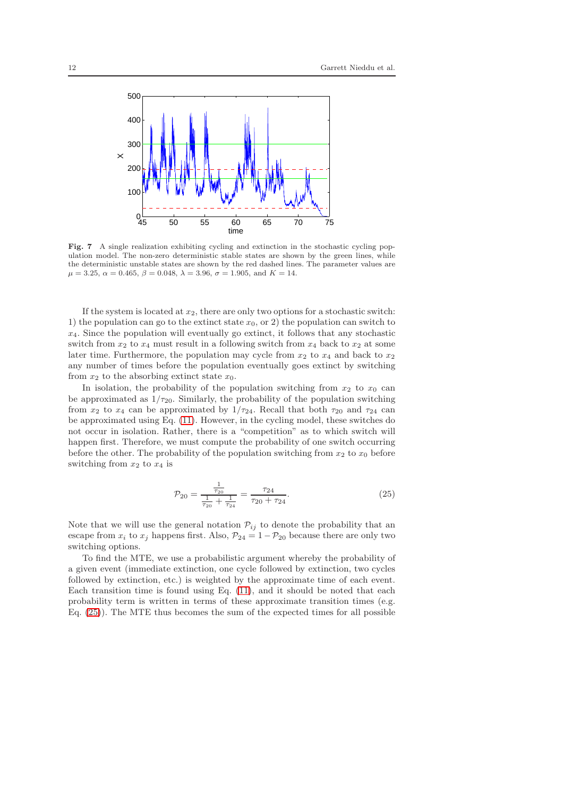

<span id="page-11-0"></span>Fig. 7 A single realization exhibiting cycling and extinction in the stochastic cycling population model. The non-zero deterministic stable states are shown by the green lines, while the deterministic unstable states are shown by the red dashed lines. The parameter values are  $\mu = 3.25, \ \alpha = 0.465, \ \beta = 0.048, \ \lambda = 3.96, \ \sigma = 1.905, \ \text{and} \ K = 14.$ 

If the system is located at  $x_2$ , there are only two options for a stochastic switch: 1) the population can go to the extinct state  $x_0$ , or 2) the population can switch to  $x_4$ . Since the population will eventually go extinct, it follows that any stochastic switch from  $x_2$  to  $x_4$  must result in a following switch from  $x_4$  back to  $x_2$  at some later time. Furthermore, the population may cycle from  $x_2$  to  $x_4$  and back to  $x_2$ any number of times before the population eventually goes extinct by switching from  $x_2$  to the absorbing extinct state  $x_0$ .

In isolation, the probability of the population switching from  $x_2$  to  $x_0$  can be approximated as  $1/\tau_{20}$ . Similarly, the probability of the population switching from  $x_2$  to  $x_4$  can be approximated by  $1/\tau_{24}$ . Recall that both  $\tau_{20}$  and  $\tau_{24}$  can be approximated using Eq. [\(11\)](#page-4-1). However, in the cycling model, these switches do not occur in isolation. Rather, there is a "competition" as to which switch will happen first. Therefore, we must compute the probability of one switch occurring before the other. The probability of the population switching from  $x_2$  to  $x_0$  before switching from  $x_2$  to  $x_4$  is

<span id="page-11-1"></span>
$$
\mathcal{P}_{20} = \frac{\frac{1}{\tau_{20}}}{\frac{1}{\tau_{20}} + \frac{1}{\tau_{24}}} = \frac{\tau_{24}}{\tau_{20} + \tau_{24}}.
$$
\n(25)

Note that we will use the general notation  $\mathcal{P}_{ij}$  to denote the probability that an escape from  $x_i$  to  $x_j$  happens first. Also,  $\mathcal{P}_{24} = 1 - \mathcal{P}_{20}$  because there are only two switching options.

To find the MTE, we use a probabilistic argument whereby the probability of a given event (immediate extinction, one cycle followed by extinction, two cycles followed by extinction, etc.) is weighted by the approximate time of each event. Each transition time is found using Eq. [\(11\)](#page-4-1), and it should be noted that each probability term is written in terms of these approximate transition times (e.g. Eq. [\(25\)](#page-11-1)). The MTE thus becomes the sum of the expected times for all possible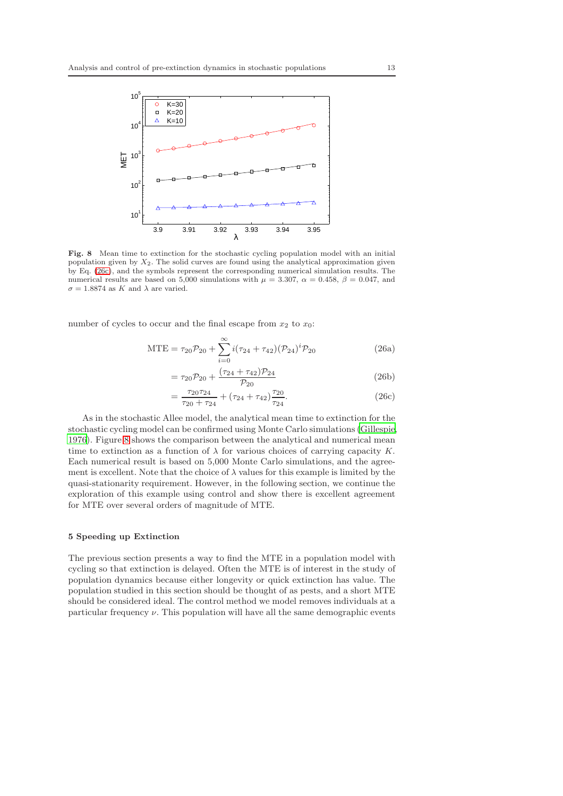

<span id="page-12-2"></span>Fig. 8 Mean time to extinction for the stochastic cycling population model with an initial population given by  $X_2$ . The solid curves are found using the analytical approximation given by Eq. [\(26c\)](#page-12-1), and the symbols represent the corresponding numerical simulation results. The numerical results are based on 5,000 simulations with  $\mu = 3.307$ ,  $\alpha = 0.458$ ,  $\beta = 0.047$ , and  $\sigma = 1.8874$  as K and  $\lambda$  are varied.

number of cycles to occur and the final escape from  $x_2$  to  $x_0$ :

$$
MTE = \tau_{20}P_{20} + \sum_{i=0}^{\infty} i(\tau_{24} + \tau_{42})(P_{24})^i P_{20}
$$
 (26a)

$$
= \tau_{20} \mathcal{P}_{20} + \frac{(\tau_{24} + \tau_{42}) \mathcal{P}_{24}}{\mathcal{P}_{20}}
$$
 (26b)

<span id="page-12-1"></span>
$$
=\frac{\tau_{20}\tau_{24}}{\tau_{20}+\tau_{24}}+(\tau_{24}+\tau_{42})\frac{\tau_{20}}{\tau_{24}}.\tag{26c}
$$

As in the stochastic Allee model, the analytical mean time to extinction for the stochastic cycling model can be confirmed using Monte Carlo simulations [\(Gillespie,](#page-15-20) [1976\)](#page-15-20). Figure [8](#page-12-2) shows the comparison between the analytical and numerical mean time to extinction as a function of  $\lambda$  for various choices of carrying capacity K. Each numerical result is based on 5,000 Monte Carlo simulations, and the agreement is excellent. Note that the choice of  $\lambda$  values for this example is limited by the quasi-stationarity requirement. However, in the following section, we continue the exploration of this example using control and show there is excellent agreement for MTE over several orders of magnitude of MTE.

### <span id="page-12-0"></span>5 Speeding up Extinction

The previous section presents a way to find the MTE in a population model with cycling so that extinction is delayed. Often the MTE is of interest in the study of population dynamics because either longevity or quick extinction has value. The population studied in this section should be thought of as pests, and a short MTE should be considered ideal. The control method we model removes individuals at a particular frequency  $\nu$ . This population will have all the same demographic events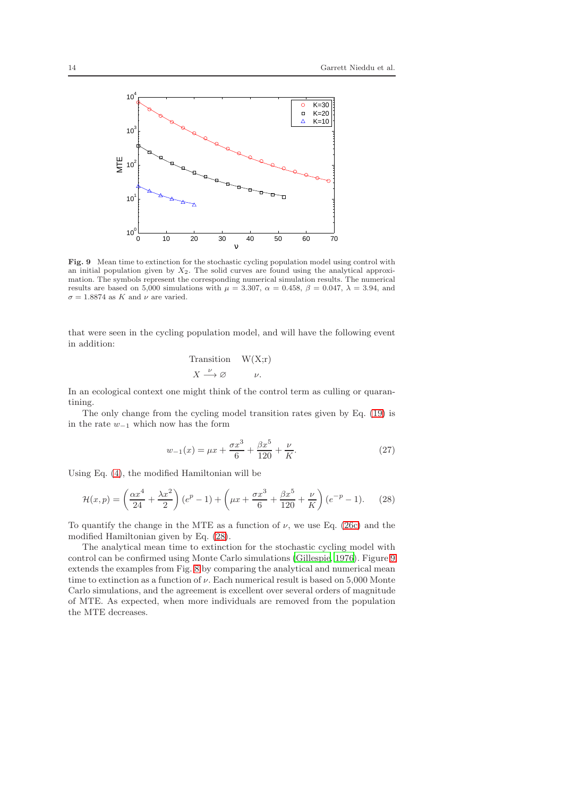

<span id="page-13-1"></span>Fig. 9 Mean time to extinction for the stochastic cycling population model using control with an initial population given by  $X_2$ . The solid curves are found using the analytical approximation. The symbols represent the corresponding numerical simulation results. The numerical results are based on 5,000 simulations with  $\mu = 3.307$ ,  $\alpha = 0.458$ ,  $\beta = 0.047$ ,  $\lambda = 3.94$ , and  $\sigma = 1.8874$  as K and  $\nu$  are varied.

that were seen in the cycling population model, and will have the following event in addition:

$$
\begin{array}{ll}\n\text{Transition} & W(X; r) \\
X \xrightarrow{\nu} \varnothing & \nu.\n\end{array}
$$

In an ecological context one might think of the control term as culling or quarantining.

The only change from the cycling model transition rates given by Eq. [\(19\)](#page-9-0) is in the rate  $w_{-1}$  which now has the form

$$
w_{-1}(x) = \mu x + \frac{\sigma x^3}{6} + \frac{\beta x^5}{120} + \frac{\nu}{K}.
$$
 (27)

Using Eq. [\(4\)](#page-3-0), the modified Hamiltonian will be

<span id="page-13-0"></span>
$$
\mathcal{H}(x,p) = \left(\frac{\alpha x^4}{24} + \frac{\lambda x^2}{2}\right)(e^p - 1) + \left(\mu x + \frac{\sigma x^3}{6} + \frac{\beta x^5}{120} + \frac{\nu}{K}\right)(e^{-p} - 1). \tag{28}
$$

To quantify the change in the MTE as a function of  $\nu$ , we use Eq. [\(26c\)](#page-12-1) and the modified Hamiltonian given by Eq. [\(28\)](#page-13-0).

The analytical mean time to extinction for the stochastic cycling model with control can be confirmed using Monte Carlo simulations [\(Gillespie, 1976\)](#page-15-20). Figure [9](#page-13-1) extends the examples from Fig. [8](#page-12-2) by comparing the analytical and numerical mean time to extinction as a function of  $\nu$ . Each numerical result is based on 5,000 Monte Carlo simulations, and the agreement is excellent over several orders of magnitude of MTE. As expected, when more individuals are removed from the population the MTE decreases.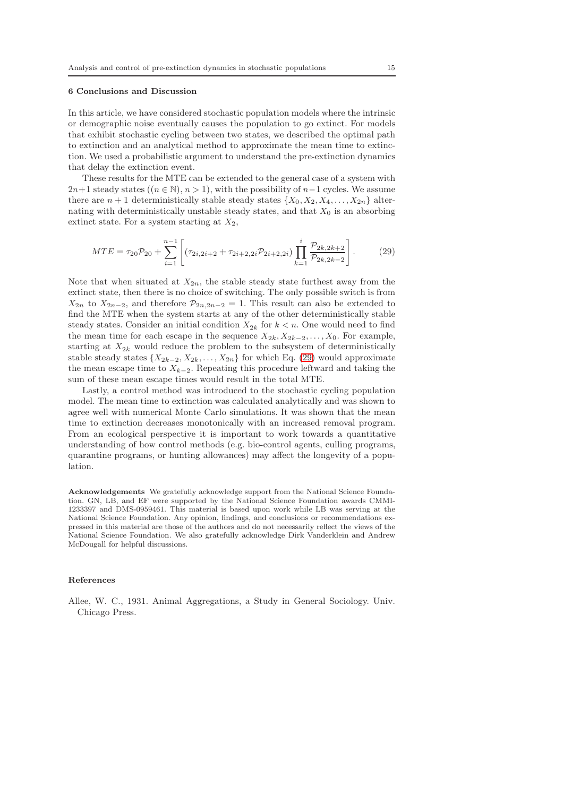### 6 Conclusions and Discussion

In this article, we have considered stochastic population models where the intrinsic or demographic noise eventually causes the population to go extinct. For models that exhibit stochastic cycling between two states, we described the optimal path to extinction and an analytical method to approximate the mean time to extinction. We used a probabilistic argument to understand the pre-extinction dynamics that delay the extinction event.

These results for the MTE can be extended to the general case of a system with  $2n+1$  steady states  $((n \in \mathbb{N}), n > 1)$ , with the possibility of  $n-1$  cycles. We assume there are  $n + 1$  deterministically stable steady states  $\{X_0, X_2, X_4, \ldots, X_{2n}\}\$ alternating with deterministically unstable steady states, and that  $X_0$  is an absorbing extinct state. For a system starting at  $X_2$ ,

<span id="page-14-1"></span>
$$
MTE = \tau_{20}P_{20} + \sum_{i=1}^{n-1} \left[ (\tau_{2i,2i+2} + \tau_{2i+2,2i}P_{2i+2,2i}) \prod_{k=1}^{i} \frac{\mathcal{P}_{2k,2k+2}}{\mathcal{P}_{2k,2k-2}} \right].
$$
 (29)

Note that when situated at  $X_{2n}$ , the stable steady state furthest away from the extinct state, then there is no choice of switching. The only possible switch is from  $X_{2n}$  to  $X_{2n-2}$ , and therefore  $\mathcal{P}_{2n,2n-2} = 1$ . This result can also be extended to find the MTE when the system starts at any of the other deterministically stable steady states. Consider an initial condition  $X_{2k}$  for  $k < n$ . One would need to find the mean time for each escape in the sequence  $X_{2k}$ ,  $X_{2k-2}$ , ...,  $X_0$ . For example, starting at  $X_{2k}$  would reduce the problem to the subsystem of deterministically stable steady states  $\{X_{2k-2}, X_{2k}, \ldots, X_{2n}\}$  for which Eq. [\(29\)](#page-14-1) would approximate the mean escape time to  $X_{k-2}$ . Repeating this procedure leftward and taking the sum of these mean escape times would result in the total MTE.

Lastly, a control method was introduced to the stochastic cycling population model. The mean time to extinction was calculated analytically and was shown to agree well with numerical Monte Carlo simulations. It was shown that the mean time to extinction decreases monotonically with an increased removal program. From an ecological perspective it is important to work towards a quantitative understanding of how control methods (e.g. bio-control agents, culling programs, quarantine programs, or hunting allowances) may affect the longevity of a population.

Acknowledgements We gratefully acknowledge support from the National Science Foundation. GN, LB, and EF were supported by the National Science Foundation awards CMMI-1233397 and DMS-0959461. This material is based upon work while LB was serving at the National Science Foundation. Any opinion, findings, and conclusions or recommendations expressed in this material are those of the authors and do not necessarily reflect the views of the National Science Foundation. We also gratefully acknowledge Dirk Vanderklein and Andrew McDougall for helpful discussions.

#### References

<span id="page-14-0"></span>Allee, W. C., 1931. Animal Aggregations, a Study in General Sociology. Univ. Chicago Press.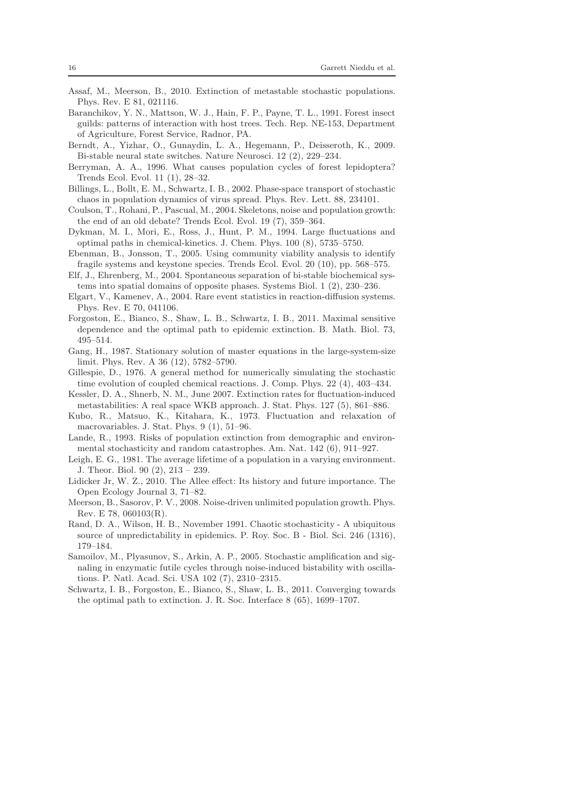- <span id="page-15-4"></span>Assaf, M., Meerson, B., 2010. Extinction of metastable stochastic populations. Phys. Rev. E 81, 021116.
- <span id="page-15-2"></span>Baranchikov, Y. N., Mattson, W. J., Hain, F. P., Payne, T. L., 1991. Forest insect guilds: patterns of interaction with host trees. Tech. Rep. NE-153, Department of Agriculture, Forest Service, Radnor, PA.
- <span id="page-15-10"></span>Berndt, A., Yizhar, O., Gunaydin, L. A., Hegemann, P., Deisseroth, K., 2009. Bi-stable neural state switches. Nature Neurosci. 12 (2), 229–234.
- <span id="page-15-8"></span>Berryman, A. A., 1996. What causes population cycles of forest lepidoptera? Trends Ecol. Evol. 11 (1), 28–32.
- <span id="page-15-1"></span>Billings, L., Bollt, E. M., Schwartz, I. B., 2002. Phase-space transport of stochastic chaos in population dynamics of virus spread. Phys. Rev. Lett. 88, 234101.
- <span id="page-15-3"></span>Coulson, T., Rohani, P., Pascual, M., 2004. Skeletons, noise and population growth: the end of an old debate? Trends Ecol. Evol. 19 (7), 359–364.
- <span id="page-15-14"></span>Dykman, M. I., Mori, E., Ross, J., Hunt, P. M., 1994. Large fluctuations and optimal paths in chemical-kinetics. J. Chem. Phys. 100 (8), 5735–5750.
- <span id="page-15-5"></span>Ebenman, B., Jonsson, T., 2005. Using community viability analysis to identify fragile systems and keystone species. Trends Ecol. Evol. 20 (10), pp. 568–575.
- <span id="page-15-9"></span>Elf, J., Ehrenberg, M., 2004. Spontaneous separation of bi-stable biochemical systems into spatial domains of opposite phases. Systems Biol. 1 (2), 230–236.
- <span id="page-15-15"></span>Elgart, V., Kamenev, A., 2004. Rare event statistics in reaction-diffusion systems. Phys. Rev. E 70, 041106.
- <span id="page-15-17"></span>Forgoston, E., Bianco, S., Shaw, L. B., Schwartz, I. B., 2011. Maximal sensitive dependence and the optimal path to epidemic extinction. B. Math. Biol. 73, 495–514.
- <span id="page-15-13"></span>Gang, H., 1987. Stationary solution of master equations in the large-system-size limit. Phys. Rev. A 36 (12), 5782–5790.
- <span id="page-15-20"></span>Gillespie, D., 1976. A general method for numerically simulating the stochastic time evolution of coupled chemical reactions. J. Comp. Phys. 22 (4), 403–434.
- <span id="page-15-16"></span>Kessler, D. A., Shnerb, N. M., June 2007. Extinction rates for fluctuation-induced metastabilities: A real space WKB approach. J. Stat. Phys. 127 (5), 861–886.
- <span id="page-15-12"></span>Kubo, R., Matsuo, K., Kitahara, K., 1973. Fluctuation and relaxation of macrovariables. J. Stat. Phys. 9 (1), 51–96.
- <span id="page-15-7"></span>Lande, R., 1993. Risks of population extinction from demographic and environmental stochasticity and random catastrophes. Am. Nat. 142 (6), 911–927.
- <span id="page-15-6"></span>Leigh, E. G., 1981. The average lifetime of a population in a varying environment. J. Theor. Biol. 90 (2), 213 – 239.
- <span id="page-15-19"></span>Lidicker Jr, W. Z., 2010. The Allee effect: Its history and future importance. The Open Ecology Journal 3, 71–82.
- <span id="page-15-21"></span>Meerson, B., Sasorov, P. V., 2008. Noise-driven unlimited population growth. Phys. Rev. E 78, 060103(R).
- <span id="page-15-0"></span>Rand, D. A., Wilson, H. B., November 1991. Chaotic stochasticity - A ubiquitous source of unpredictability in epidemics. P. Roy. Soc. B - Biol. Sci. 246 (1316), 179–184.
- <span id="page-15-11"></span>Samoilov, M., Plyasunov, S., Arkin, A. P., 2005. Stochastic amplification and signaling in enzymatic futile cycles through noise-induced bistability with oscillations. P. Natl. Acad. Sci. USA 102 (7), 2310–2315.
- <span id="page-15-18"></span>Schwartz, I. B., Forgoston, E., Bianco, S., Shaw, L. B., 2011. Converging towards the optimal path to extinction. J. R. Soc. Interface 8 (65), 1699–1707.